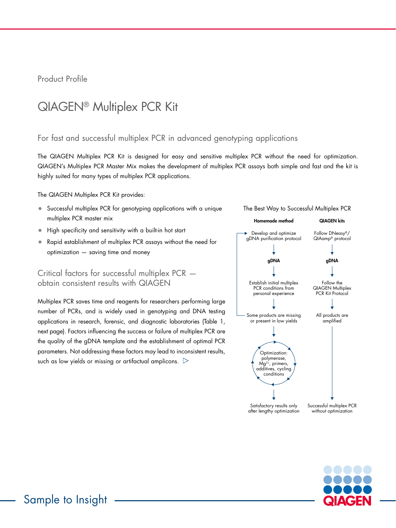Product Profile

# QIAGEN® Multiplex PCR Kit

# For fast and successful multiplex PCR in advanced genotyping applications

The QIAGEN Multiplex PCR Kit is designed for easy and sensitive multiplex PCR without the need for optimization. QIAGEN's Multiplex PCR Master Mix makes the development of multiplex PCR assays both simple and fast and the kit is highly suited for many types of multiplex PCR applications.

The QIAGEN Multiplex PCR Kit provides:

- Successful multiplex PCR for genotyping applications with a unique multiplex PCR master mix
- High specificity and sensitivity with a built-in hot start
- Rapid establishment of multiplex PCR assays without the need for optimization — saving time and money

# Critical factors for successful multiplex PCR obtain consistent results with QIAGEN

Multiplex PCR saves time and reagents for researchers performing large number of PCRs, and is widely used in genotyping and DNA testing applications in research, forensic, and diagnostic laboratories (Table 1, next page). Factors influencing the success or failure of multiplex PCR are the quality of the gDNA template and the establishment of optimal PCR parameters. Not addressing these factors may lead to inconsistent results, such as low yields or missing or artifactual amplicons.  $\triangleright$ 



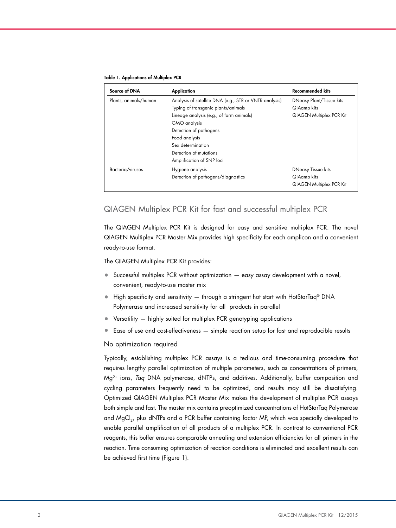#### Table 1. Applications of Multiplex PCR

| Source of DNA         | Application                                            | <b>Recommended kits</b>         |
|-----------------------|--------------------------------------------------------|---------------------------------|
| Plants, animals/human | Analysis of satellite DNA (e.g., STR or VNTR analysis) | DNeasy Plant/Tissue kits        |
|                       | Typing of transgenic plants/animals                    | QIAamp kits                     |
|                       | Lineage analysis (e.g., of farm animals)               | <b>QIAGEN Multiplex PCR Kit</b> |
|                       | GMO analysis                                           |                                 |
|                       | Detection of pathogens                                 |                                 |
|                       | Food analysis                                          |                                 |
|                       | Sex determination                                      |                                 |
|                       | Detection of mutations                                 |                                 |
|                       | Amplification of SNP loci                              |                                 |
| Bacteria/viruses      | Hygiene analysis                                       | <b>DNeasy Tissue kits</b>       |
|                       | Detection of pathogens/diagnostics                     | QIAamp kits                     |
|                       |                                                        | <b>QIAGEN Multiplex PCR Kit</b> |

### QIAGEN Multiplex PCR Kit for fast and successful multiplex PCR

The QIAGEN Multiplex PCR Kit is designed for easy and sensitive multiplex PCR. The novel QIAGEN Multiplex PCR Master Mix provides high specificity for each amplicon and a convenient ready-to-use format.

The QIAGEN Multiplex PCR Kit provides:

- Successful multiplex PCR without optimization easy assay development with a novel, convenient, ready-to-use master mix
- High specificity and sensitivity through a stringent hot start with HotStarTaq® DNA Polymerase and increased sensitivity for all products in parallel
- Versatility highly suited for multiplex PCR genotyping applications
- Ease of use and cost-effectiveness simple reaction setup for fast and reproducible results

#### No optimization required

Typically, establishing multiplex PCR assays is a tedious and time-consuming procedure that requires lengthy parallel optimization of multiple parameters, such as concentrations of primers, Mg2+ ions, *Taq* DNA polymerase, dNTPs, and additives. Additionally, buffer composition and cycling parameters frequently need to be optimized, and results may still be dissatisfying. Optimized QIAGEN Multiplex PCR Master Mix makes the development of multiplex PCR assays both simple and fast. The master mix contains preoptimized concentrations of HotStarTaq Polymerase and MgCl<sub>2</sub>, plus dNTPs and a PCR buffer containing factor MP, which was specially developed to enable parallel amplification of all products of a multiplex PCR. In contrast to conventional PCR reagents, this buffer ensures comparable annealing and extension efficiencies for all primers in the reaction. Time consuming optimization of reaction conditions is eliminated and excellent results can be achieved first time (Figure 1).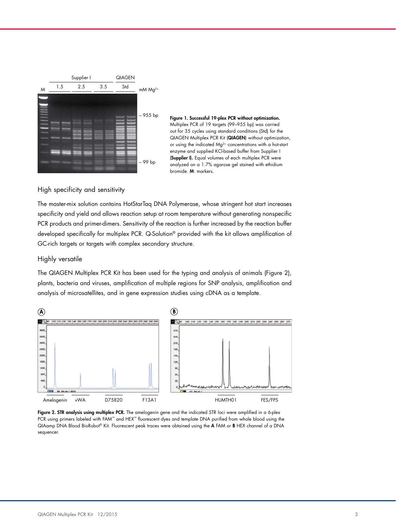



High specificity and sensitivity

The master-mix solution contains HotStarTaq DNA Polymerase, whose stringent hot start increases specificity and yield and allows reaction setup at room temperature without generating nonspecific PCR products and primer-dimers. Sensitivity of the reaction is further increased by the reaction buffer developed specifically for multiplex PCR. Q-Solution® provided with the kit allows amplification of GC-rich targets or targets with complex secondary structure.

#### Highly versatile

The QIAGEN Multiplex PCR Kit has been used for the typing and analysis of animals (Figure 2), plants, bacteria and viruses, amplification of multiple regions for SNP analysis, amplification and analysis of microsatellites, and in gene expression studies using cDNA as a template.



Figure 2. STR analysis using multiplex PCR. The amelogenin gene and the indicated STR loci were amplified in a 6-plex PCR using primers labeled with FAM™ and HEX™ fluorescent dyes and template DNA purified from whole blood using the QIAamp DNA Blood BioRobot® Kit. Fluorescent peak traces were obtained using the A FAM or B HEX channel of a DNA sequencer.